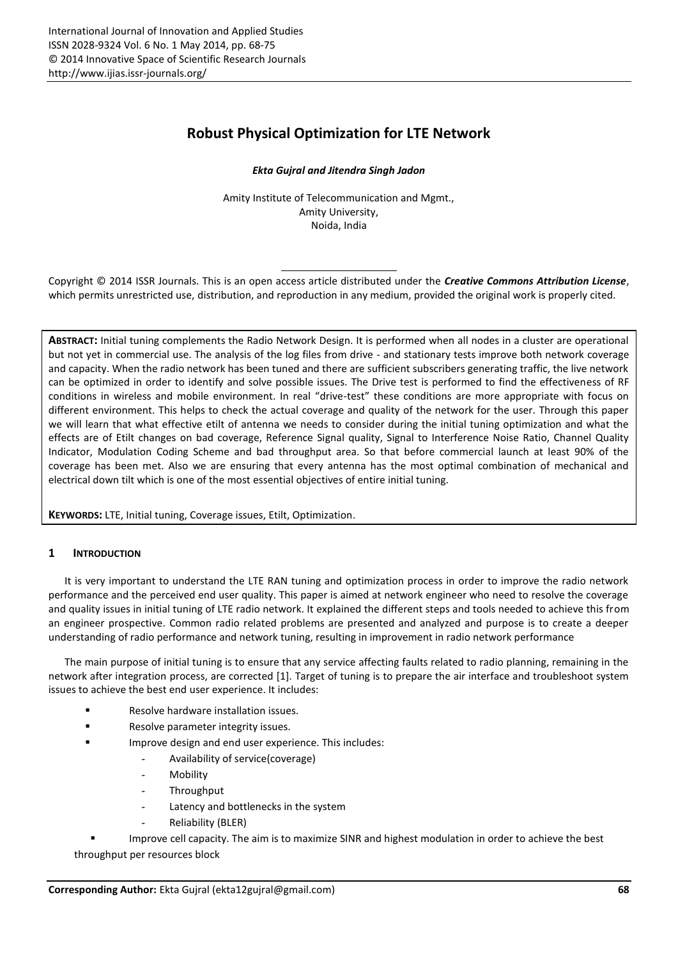# **Robust Physical Optimization for LTE Network**

## *Ekta Gujral and Jitendra Singh Jadon*

Amity Institute of Telecommunication and Mgmt., Amity University, Noida, India

Copyright © 2014 ISSR Journals. This is an open access article distributed under the *Creative Commons Attribution License*, which permits unrestricted use, distribution, and reproduction in any medium, provided the original work is properly cited.

**ABSTRACT:** Initial tuning complements the Radio Network Design. It is performed when all nodes in a cluster are operational but not yet in commercial use. The analysis of the log files from drive - and stationary tests improve both network coverage and capacity. When the radio network has been tuned and there are sufficient subscribers generating traffic, the live network can be optimized in order to identify and solve possible issues. The Drive test is performed to find the effectiveness of RF conditions in wireless and mobile environment. In real "drive-test" these conditions are more appropriate with focus on different environment. This helps to check the actual coverage and quality of the network for the user. Through this paper we will learn that what effective etilt of antenna we needs to consider during the initial tuning optimization and what the effects are of Etilt changes on bad coverage, Reference Signal quality, Signal to Interference Noise Ratio, Channel Quality Indicator, Modulation Coding Scheme and bad throughput area. So that before commercial launch at least 90% of the coverage has been met. Also we are ensuring that every antenna has the most optimal combination of mechanical and electrical down tilt which is one of the most essential objectives of entire initial tuning.

**KEYWORDS:** LTE, Initial tuning, Coverage issues, Etilt, Optimization.

# **1 INTRODUCTION**

It is very important to understand the LTE RAN tuning and optimization process in order to improve the radio network performance and the perceived end user quality. This paper is aimed at network engineer who need to resolve the coverage and quality issues in initial tuning of LTE radio network. It explained the different steps and tools needed to achieve this from an engineer prospective. Common radio related problems are presented and analyzed and purpose is to create a deeper understanding of radio performance and network tuning, resulting in improvement in radio network performance

The main purpose of initial tuning is to ensure that any service affecting faults related to radio planning, remaining in the network after integration process, are corrected [1]. Target of tuning is to prepare the air interface and troubleshoot system issues to achieve the best end user experience. It includes:

- Resolve hardware installation issues.
- Resolve parameter integrity issues.
- Improve design and end user experience. This includes:
	- Availability of service(coverage)
	- Mobility
	- **Throughput**
	- Latency and bottlenecks in the system
	- Reliability (BLER)

Improve cell capacity. The aim is to maximize SINR and highest modulation in order to achieve the best

throughput per resources block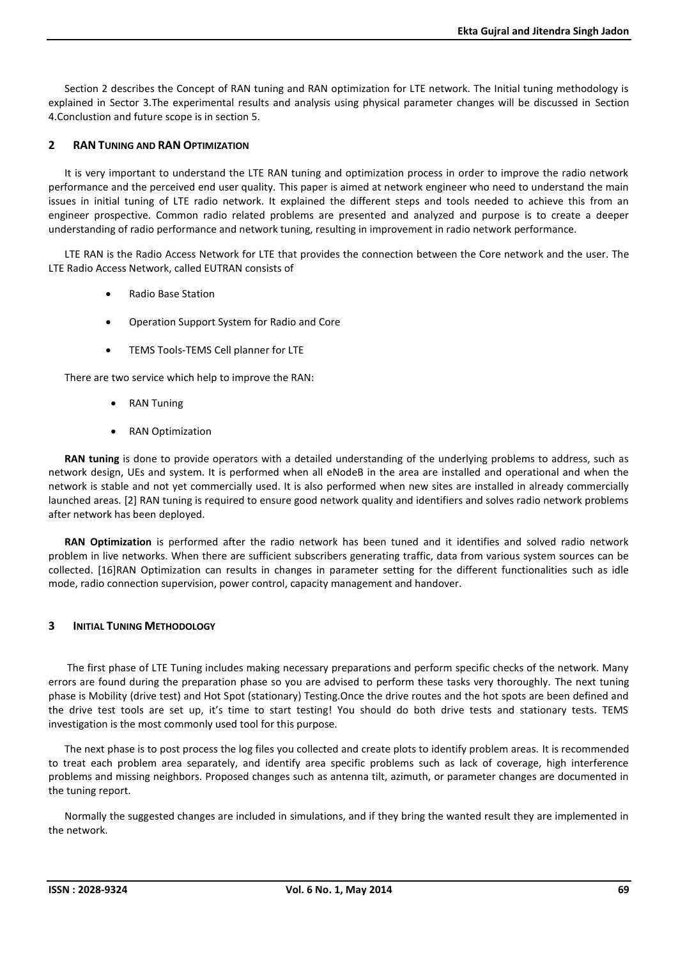Section 2 describes the Concept of RAN tuning and RAN optimization for LTE network. The Initial tuning methodology is explained in Sector 3.The experimental results and analysis using physical parameter changes will be discussed in Section 4.Conclustion and future scope is in section 5.

# **2 RAN TUNING AND RAN OPTIMIZATION**

It is very important to understand the LTE RAN tuning and optimization process in order to improve the radio network performance and the perceived end user quality. This paper is aimed at network engineer who need to understand the main issues in initial tuning of LTE radio network. It explained the different steps and tools needed to achieve this from an engineer prospective. Common radio related problems are presented and analyzed and purpose is to create a deeper understanding of radio performance and network tuning, resulting in improvement in radio network performance.

LTE RAN is the Radio Access Network for LTE that provides the connection between the Core network and the user. The LTE Radio Access Network, called EUTRAN consists of

- Radio Base Station
- Operation Support System for Radio and Core
- TEMS Tools-TEMS Cell planner for LTE

There are two service which help to improve the RAN:

- RAN Tuning
- RAN Optimization

**RAN tuning** is done to provide operators with a detailed understanding of the underlying problems to address, such as network design, UEs and system. It is performed when all eNodeB in the area are installed and operational and when the network is stable and not yet commercially used. It is also performed when new sites are installed in already commercially launched areas. [2] RAN tuning is required to ensure good network quality and identifiers and solves radio network problems after network has been deployed.

**RAN Optimization** is performed after the radio network has been tuned and it identifies and solved radio network problem in live networks. When there are sufficient subscribers generating traffic, data from various system sources can be collected. [16]RAN Optimization can results in changes in parameter setting for the different functionalities such as idle mode, radio connection supervision, power control, capacity management and handover.

# **3 INITIAL TUNING METHODOLOGY**

The first phase of LTE Tuning includes making necessary preparations and perform specific checks of the network. Many errors are found during the preparation phase so you are advised to perform these tasks very thoroughly. The next tuning phase is Mobility (drive test) and Hot Spot (stationary) Testing.Once the drive routes and the hot spots are been defined and the drive test tools are set up, it's time to start testing! You should do both drive tests and stationary tests. TEMS investigation is the most commonly used tool for this purpose.

The next phase is to post process the log files you collected and create plots to identify problem areas. It is recommended to treat each problem area separately, and identify area specific problems such as lack of coverage, high interference problems and missing neighbors. Proposed changes such as antenna tilt, azimuth, or parameter changes are documented in the tuning report.

Normally the suggested changes are included in simulations, and if they bring the wanted result they are implemented in the network.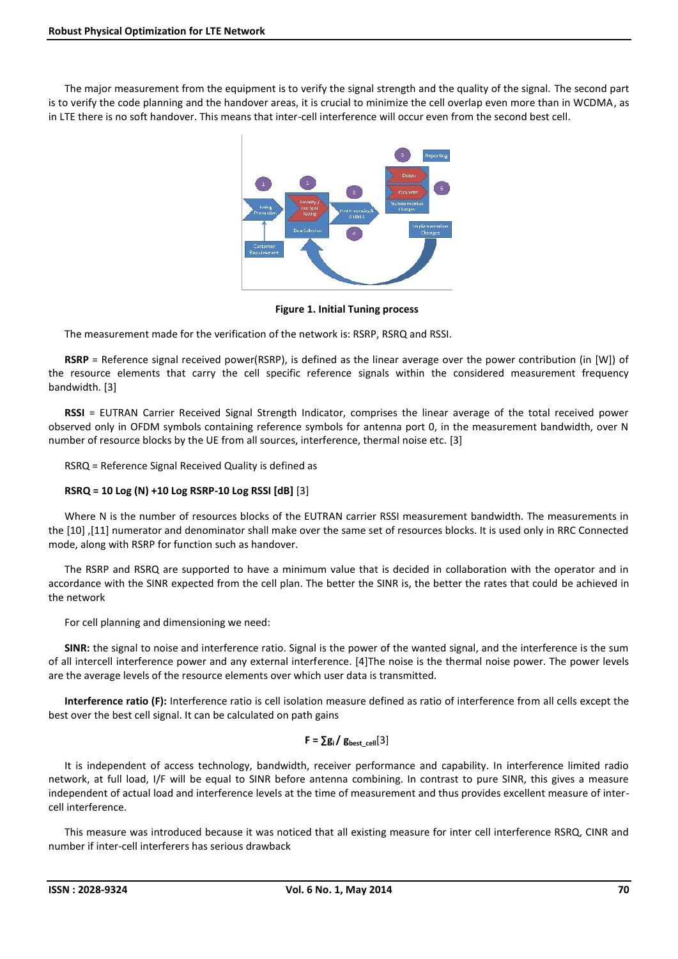The major measurement from the equipment is to verify the signal strength and the quality of the signal. The second part is to verify the code planning and the handover areas, it is crucial to minimize the cell overlap even more than in WCDMA, as in LTE there is no soft handover. This means that inter-cell interference will occur even from the second best cell.



**Figure 1. Initial Tuning process**

The measurement made for the verification of the network is: RSRP, RSRQ and RSSI.

**RSRP** = Reference signal received power(RSRP), is defined as the linear average over the power contribution (in [W]) of the resource elements that carry the cell specific reference signals within the considered measurement frequency bandwidth. [3]

**RSSI** = EUTRAN Carrier Received Signal Strength Indicator, comprises the linear average of the total received power observed only in OFDM symbols containing reference symbols for antenna port 0, in the measurement bandwidth, over N number of resource blocks by the UE from all sources, interference, thermal noise etc. [3]

RSRQ = Reference Signal Received Quality is defined as

# **RSRQ = 10 Log (N) +10 Log RSRP-10 Log RSSI [dB]** [3]

Where N is the number of resources blocks of the EUTRAN carrier RSSI measurement bandwidth. The measurements in the [10] ,[11] numerator and denominator shall make over the same set of resources blocks. It is used only in RRC Connected mode, along with RSRP for function such as handover.

The RSRP and RSRQ are supported to have a minimum value that is decided in collaboration with the operator and in accordance with the SINR expected from the cell plan. The better the SINR is, the better the rates that could be achieved in the network

For cell planning and dimensioning we need:

**SINR:** the signal to noise and interference ratio. Signal is the power of the wanted signal, and the interference is the sum of all intercell interference power and any external interference. [4]The noise is the thermal noise power. The power levels are the average levels of the resource elements over which user data is transmitted.

**Interference ratio (F):** Interference ratio is cell isolation measure defined as ratio of interference from all cells except the best over the best cell signal. It can be calculated on path gains

# $F = \sum g_i / g_{best}$  cell<sup>[3]</sup>

It is independent of access technology, bandwidth, receiver performance and capability. In interference limited radio network, at full load, I/F will be equal to SINR before antenna combining. In contrast to pure SINR, this gives a measure independent of actual load and interference levels at the time of measurement and thus provides excellent measure of inter cell interference.

This measure was introduced because it was noticed that all existing measure for inter cell interference RSRQ, CINR and number if inter-cell interferers has serious drawback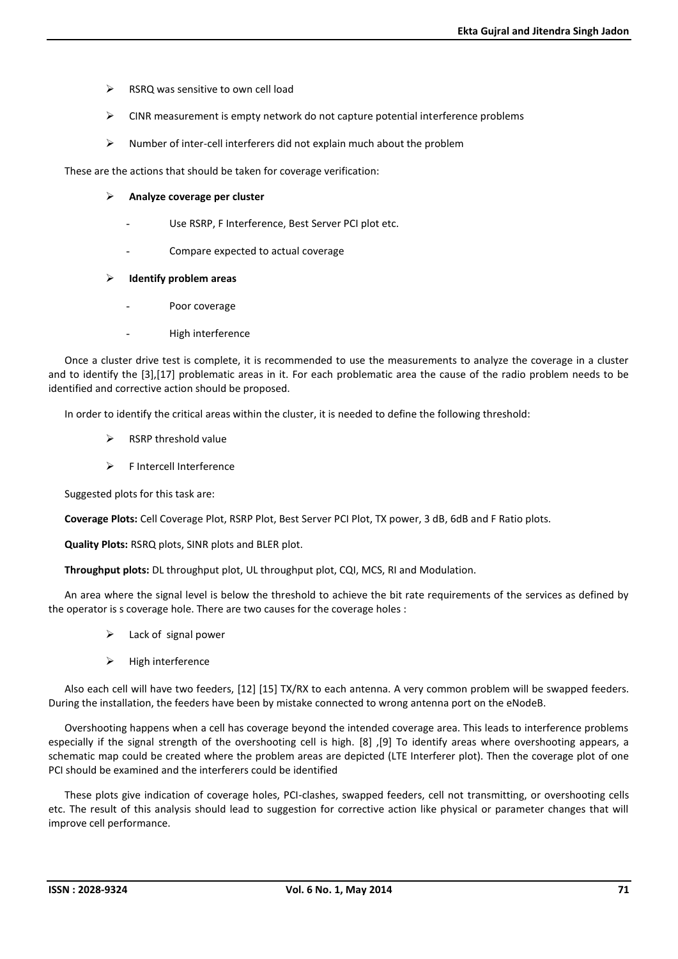- $\triangleright$  RSRQ was sensitive to own cell load
- $\triangleright$  CINR measurement is empty network do not capture potential interference problems
- Number of inter-cell interferers did not explain much about the problem

These are the actions that should be taken for coverage verification:

## **Analyze coverage per cluster**

- Use RSRP, F Interference, Best Server PCI plot etc.
- Compare expected to actual coverage

## **Identify problem areas**

- Poor coverage
- High interference

Once a cluster drive test is complete, it is recommended to use the measurements to analyze the coverage in a cluster and to identify the [3],[17] problematic areas in it. For each problematic area the cause of the radio problem needs to be identified and corrective action should be proposed.

In order to identify the critical areas within the cluster, it is needed to define the following threshold:

- RSRP threshold value
- F Intercell Interference

Suggested plots for this task are:

**Coverage Plots:** Cell Coverage Plot, RSRP Plot, Best Server PCI Plot, TX power, 3 dB, 6dB and F Ratio plots.

**Quality Plots:** RSRQ plots, SINR plots and BLER plot.

**Throughput plots:** DL throughput plot, UL throughput plot, CQI, MCS, RI and Modulation.

An area where the signal level is below the threshold to achieve the bit rate requirements of the services as defined by the operator is s coverage hole. There are two causes for the coverage holes :

- Lack of signal power
- High interference

Also each cell will have two feeders, [12] [15] TX/RX to each antenna. A very common problem will be swapped feeders. During the installation, the feeders have been by mistake connected to wrong antenna port on the eNodeB.

Overshooting happens when a cell has coverage beyond the intended coverage area. This leads to interference problems especially if the signal strength of the overshooting cell is high. [8] ,[9] To identify areas where overshooting appears, a schematic map could be created where the problem areas are depicted (LTE Interferer plot). Then the coverage plot of one PCI should be examined and the interferers could be identified

These plots give indication of coverage holes, PCI-clashes, swapped feeders, cell not transmitting, or overshooting cells etc. The result of this analysis should lead to suggestion for corrective action like physical or parameter changes that will improve cell performance.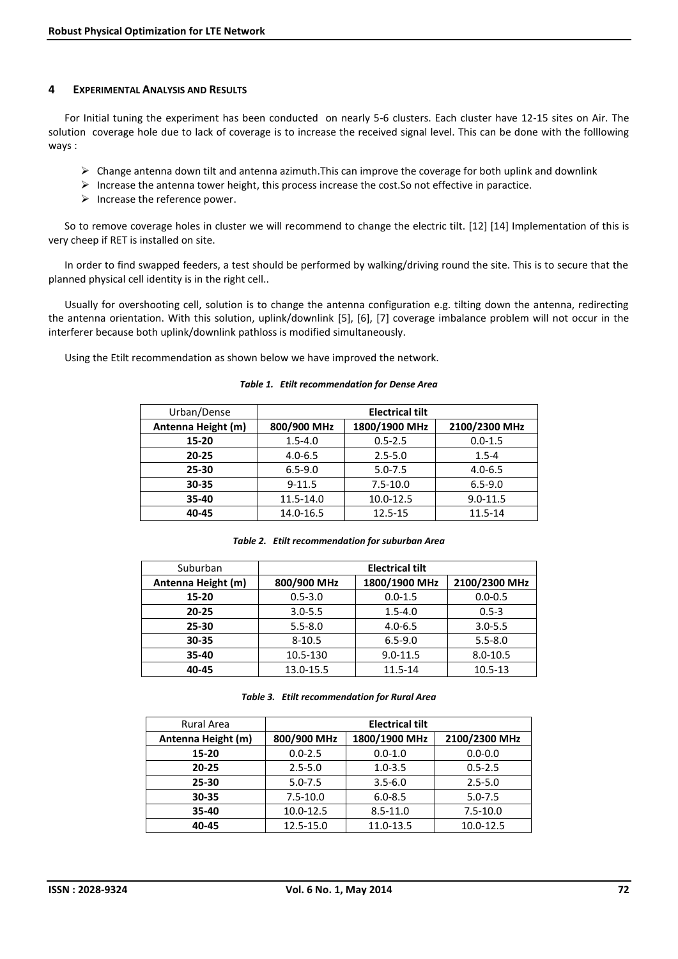### **4 EXPERIMENTAL ANALYSIS AND RESULTS**

For Initial tuning the experiment has been conducted on nearly 5-6 clusters. Each cluster have 12-15 sites on Air. The solution coverage hole due to lack of coverage is to increase the received signal level. This can be done with the folllowing ways :

- $\triangleright$  Change antenna down tilt and antenna azimuth. This can improve the coverage for both uplink and downlink
- $\triangleright$  Increase the antenna tower height, this process increase the cost. So not effective in paractice.
- $\triangleright$  Increase the reference power.

So to remove coverage holes in cluster we will recommend to change the electric tilt. [12] [14] Implementation of this is very cheep if RET is installed on site.

In order to find swapped feeders, a test should be performed by walking/driving round the site. This is to secure that the planned physical cell identity is in the right cell..

Usually for overshooting cell, solution is to change the antenna configuration e.g. tilting down the antenna, redirecting the antenna orientation. With this solution, uplink/downlink [5], [6], [7] coverage imbalance problem will not occur in the interferer because both uplink/downlink pathloss is modified simultaneously.

Using the Etilt recommendation as shown below we have improved the network.

# Urban/Dense **Electrical tilt Antenna Height (m) 800/900 MHz 1800/1900 MHz 2100/2300 MHz 15-20** 1.5-4.0 0.5-2.5 0.0-1.5 0 **20-25** | 4.0-6.5 | 2.5-5.0 | 1.5-4 | **25-30** | 6.5-9.0 | 5.0-7.5 | 4.0-6.5 | **30-35 9-11.5** 7.5-10.0 6.5-9.0 **35-40** | 11.5-14.0 | 10.0-12.5 | 9.0-11.5 **40-45** | 14.0-16.5 | 12.5-15 | 11.5-14

#### *Table 1. Etilt recommendation for Dense Area*

| Suburban           | <b>Electrical tilt</b> |               |               |
|--------------------|------------------------|---------------|---------------|
| Antenna Height (m) | 800/900 MHz            | 1800/1900 MHz | 2100/2300 MHz |
| 15-20              | $0.5 - 3.0$            | $0.0 - 1.5$   | $0.0 - 0.5$   |
| $20 - 25$          | $3.0 - 5.5$            | $1.5 - 4.0$   | $0.5 - 3$     |
| 25-30              | $5.5 - 8.0$            | $4.0 - 6.5$   | $3.0 - 5.5$   |
| 30-35              | $8 - 10.5$             | $6.5 - 9.0$   | $5.5 - 8.0$   |
| 35-40              | 10.5-130               | $9.0 - 11.5$  | $8.0 - 10.5$  |
| 40-45              | 13.0-15.5              | $11.5 - 14$   | $10.5 - 13$   |

*Table 3. Etilt recommendation for Rural Area*

| <b>Rural Area</b>  | <b>Electrical tilt</b> |               |               |
|--------------------|------------------------|---------------|---------------|
| Antenna Height (m) | 800/900 MHz            | 1800/1900 MHz | 2100/2300 MHz |
| 15-20              | $0.0 - 2.5$            | $0.0 - 1.0$   | $0.0 - 0.0$   |
| $20 - 25$          | $2.5 - 5.0$            | $1.0 - 3.5$   | $0.5 - 2.5$   |
| 25-30              | $5.0 - 7.5$            | $3.5 - 6.0$   | $2.5 - 5.0$   |
| 30-35              | $7.5 - 10.0$           | $6.0 - 8.5$   | $5.0 - 7.5$   |
| 35-40              | 10.0-12.5              | $8.5 - 11.0$  | $7.5 - 10.0$  |
| 40-45              | 12.5-15.0              | 11.0-13.5     | 10.0-12.5     |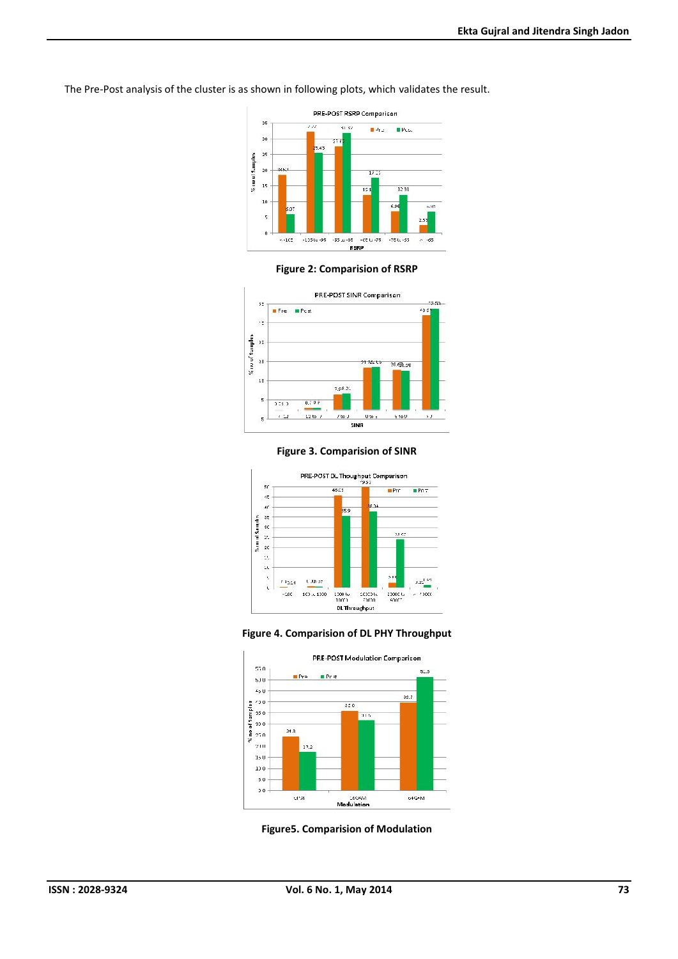The Pre-Post analysis of the cluster is as shown in following plots, which validates the result.



**Figure 2: Comparision of RSRP**



**Figure 3. Comparision of SINR**







**Figure5. Comparision of Modulation**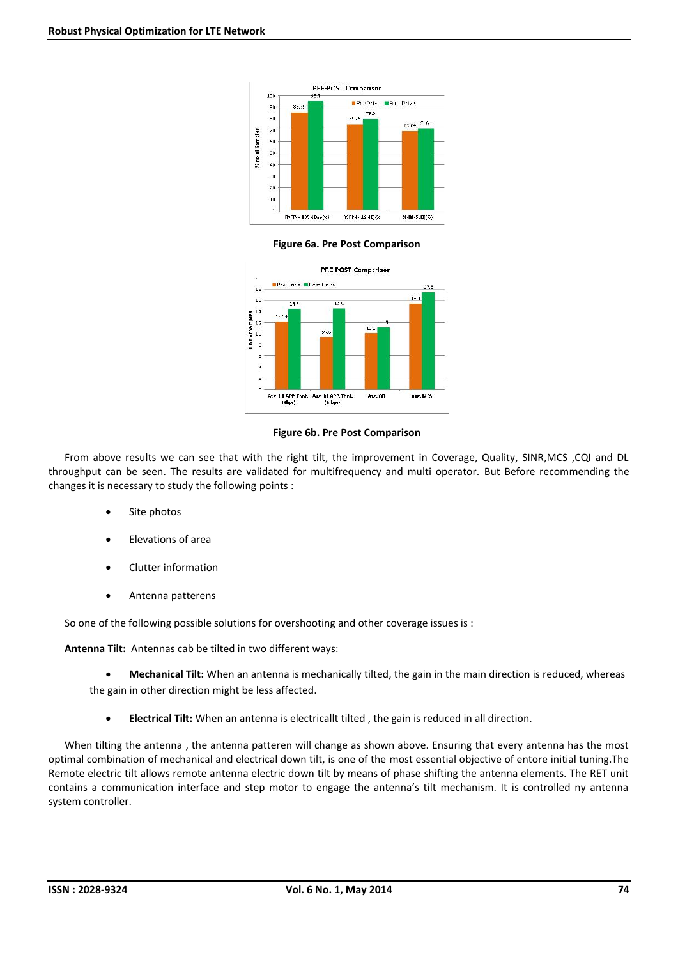

### **Figure 6a. Pre Post Comparison**



### **Figure 6b. Pre Post Comparison**

From above results we can see that with the right tilt, the improvement in Coverage, Quality, SINR,MCS ,CQI and DL throughput can be seen. The results are validated for multifrequency and multi operator. But Before recommending the changes it is necessary to study the following points :

- Site photos
- Elevations of area
- Clutter information
- Antenna patterens

So one of the following possible solutions for overshooting and other coverage issues is :

**Antenna Tilt:** Antennas cab be tilted in two different ways:

 **Mechanical Tilt:** When an antenna is mechanically tilted, the gain in the main direction is reduced, whereas the gain in other direction might be less affected.

**Electrical Tilt:** When an antenna is electricallt tilted , the gain is reduced in all direction.

When tilting the antenna , the antenna patteren will change as shown above. Ensuring that every antenna has the most optimal combination of mechanical and electrical down tilt, is one of the most essential objective of entore initial tuning.The Remote electric tilt allows remote antenna electric down tilt by means of phase shifting the antenna elements. The RET unit contains a communication interface and step motor to engage the antenna's tilt mechanism. It is controlled ny antenna system controller.